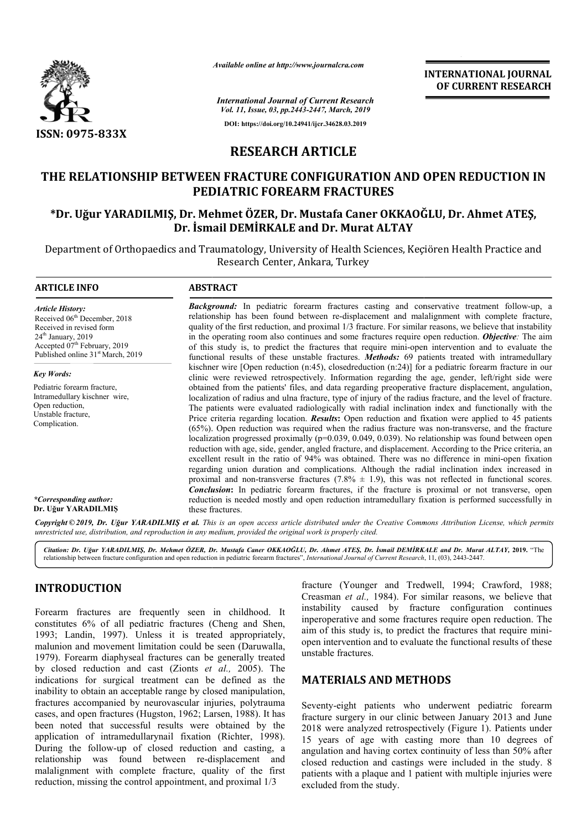

*Available online at http://www.journalcra.com*

*International Journal of Current Research Vol. 11, Issue, 03, pp.2443-2447, March, 2019* **DOI: https://doi.org/10.24941/ijcr.34628.03.2019**

**INTERNATIONAL JOURNAL OF CURRENT RESEARCH**

## **RESEARCH ARTICLE**

# **THE RELATIONSHIP BETWEEN FRACTURE CONFIGURATION AND OPEN REDUCTION IN PEDIATRIC FOREARM FRACTURES** HE RELATIONSHIP BETWEEN FRACTURE CONFIGURATION AND OPEN REDUCTION IN<br>PEDIATRIC FOREARM FRACTURES<br>Dr. Uğur YARADILMIŞ, Dr. Mehmet ÖZER, Dr. Mustafa Caner OKKAOĞLU, Dr. Ahmet ATEŞ\*

# **Dr. İsmail DEMİRKALE and Dr. Murat ALTAY**

Department of Orthopaedics and Traumatology, University of Health Sciences, Keçiören Health Practice and Department of Orthopaedics Research Center, Ankara, Turkey

#### **ARTICLE INFO ABSTRACT**

*Article History:* Received 06<sup>th</sup> December, 2018 Received in revised form 24<sup>th</sup> January, 2019 Accepted 07<sup>th</sup> February, 2019 Published online 31<sup>st</sup> March, 2019

*Key Words:* Pediatric forearm fracture, Intramedullary kischner wire, Open reduction, Unstable fracture, Complication.

relationship has been found between re-displacement and malalignment with complete fracture, quality of the first reduction, and proximal 1/3 fracture. For similar reasons, we believe that instability in the operating room also continues and some fractures require open reduction. Objective: The aim of this study is, to predict the fractures that require mini-open intervention and to evaluate the functional results of these unstable fractures. *Methods:* 69 patients treated with intramedullary kischner wire [Open reduction (n:45), closedreduction (n:24)] for a pediatric forearm fracture in our clinic were reviewed retrospectively. Information regarding the age, gender, left/right side were obtained from the patients' files, and data regarding preoperative fracture displacement, angulation, localization of radius and ulna fracture, type of injury of the radius fracture, and the level of fracture. The patients were evaluated radiologically with radial inclination index and functionally with the Price criteria regarding location. *Results***:** Open reduction and fixation were applied to 45 patients  $(65%)$ . Open reduction was required when the radius fracture was non-transverse, and the fracture localization progressed proximally  $(p=0.039, 0.049, 0.039)$ . No relationship was found between open reduction with age, side, gender, angled fracture, and displacement. According to the Price criteria, an excellent result in the ratio of 94% was obtained. There was no difference in mini regarding union duration and complications. Although the radial inclination index increased in proximal and non-transverse fractures  $(7.8\% \pm 1.9)$ , this was not reflected in functional scores. **Conclusion:** In pediatric forearm fractures, if the fracture is proximal or not transverse, open reduction is needed mostly and open reduction intramedullary fixation is performed successfully in these fractures. of this study is, to predict the fractures that require mini-open intervention and to evaluate the functional results of these unstable fractures. *Methods*: 69 patients treated with intramedullary kischner wire [Open redu obtained from the patients' files, and data regarding preoperative fracture displacement, angulation, localization of radius and ulna fracture, type of injury of the radius fracture, and the level of fracture. The patients localization progressed proximally (p=0.039, 0.049, 0.039). No relationship was found between open reduction with age, side, gender, angled fracture, and displacement. According to the Price criteria, an excellent result i regarding union duration and complications. Although the radial inclination index increased proximal and non-transverse fractures  $(7.8\% \pm 1.9)$ , this was not reflected in functional scor **Conclusion:** In pediatric forea **EVERYMATIONAL JOURNAL FORM CONTROL CONTROL CONTROL CONTROL CONTROL CONTROL CONTROL CONTROL CONTROL CONTROL CONTROL CONTROL CONTROL CONTROL CONTROL CONTROL CONTROL CONTROL CONTROL CONTROL CONTROL CONTROL CONTROL CONTROL C** 

**Background:** In pediatric forearm fractures casting and conservative treatment follow-up, a relationship has been found between re re-displacement and malalignment with complete fracture,

*\*Corresponding author:* **Dr. Uğur YARADILMIŞ**

Copyright © 2019, Dr. Uğur YARADILMIŞ et al. This is an open access article distributed under the Creative Commons Attribution License, which permits *unrestricted use, distribution, and reproduction in any medium, provided the original work is properly cited.*

Citation: Dr. Uğur YARADILMIŞ, Dr. Mehmet ÖZER, Dr. Mustafa Caner OKKAOGLU, Dr. Ahmet ATEŞ, Dr. Ismail DEMIRKALE and Dr. Murat ALTAY, 2019. "The relationship between fracture configuration and open reduction in pediatric forearm fractures", *International Journal of Current Research*, 11, (03), 2443-2447.

### **INTRODUCTION**

Forearm fractures are frequently seen in childhood. It constitutes 6% of all pediatric fractures (Cheng and Shen, 1993; Landin, 1997). Unless it is treated appropriately, malunion and movement limitation could be seen (Daruwalla, 1979). Forearm diaphyseal fractures can be generally treated by closed reduction and cast (Zionts *et al.,*  2005). The indications for surgical treatment can be de defined as the inability to obtain an acceptable range by closed manipulation, fractures accompanied by neurovascular injuries, polytrauma cases, and open fractures (Hugston, 1962; Larsen, 1988). It has been noted that successful results were obtained by the application of intramedullarynail fixation (Richter, 1998). During the follow-up of closed reduction and casting, a relationship was found between re-displacement and malalignment with complete fracture, quality of the first reduction, missing the control appointment, and proximal 1/3 **Fracture (Younger and Tredwell, 1994; Crawford, 1988;**<br> **Examinal effective** continues and taxe all, 1984). For similar reasons, we believe that<br>
ill pediatric fractures (Cheng and Shen, inperoperative and some fractures

Creasman *et al.,* 1984). For similar reasons, we believe that instability caused by fracture configuration continues inperoperative and some fractures require open reduction. The aim of this study is, to predict the fractures that require miniopen intervention and to evaluate the functional results of these unstable fractures. Younger and Tredwell, 1994; Crawford, 1988; *et al.*, 1984). For similar reasons, we believe that caused by fracture configuration continues tive and some fractures require open reduction. The

#### **MATERIALS AND METHODS METHODS**

Seventy-eight patients who underwent pediatric forearm fracture surgery in our clinic between January 2013 and June 2018 were analyzed retrospectively (Figure 1). Patients under 15 years of age with casting more than 10 degrees of angulation and having cortex continuity of less than 50% after closed reduction and castings were included in the study. 8 patients with a plaque and 1 patient with multiple injuries were excluded from the study.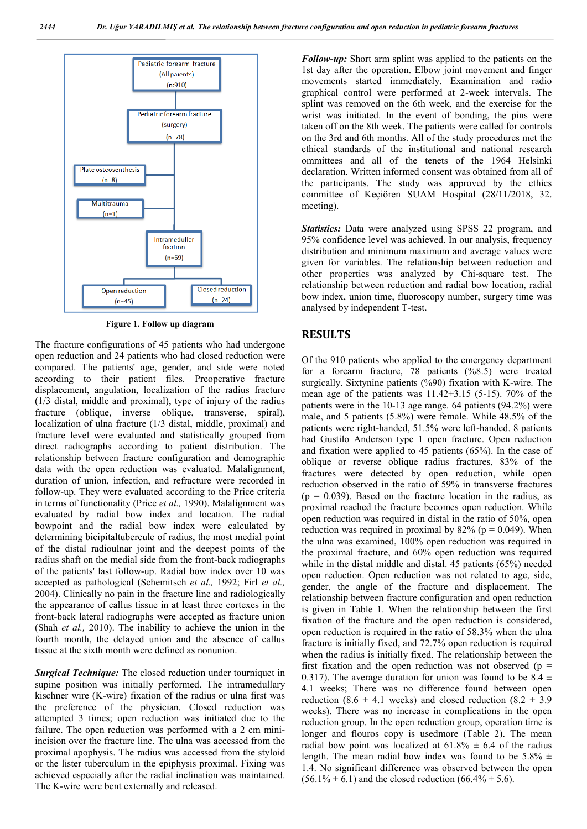

**Figure 1. Follow up diagram**

The fracture configurations of 45 patients who had undergone open reduction and 24 patients who had closed reduction were compared. The patients' age, gender, and side were noted according to their patient files. Preoperative fracture displacement, angulation, localization of the radius fracture (1/3 distal, middle and proximal), type of injury of the radius fracture (oblique, inverse oblique, transverse, spiral), localization of ulna fracture (1/3 distal, middle, proximal) and fracture level were evaluated and statistically grouped from direct radiographs according to patient distribution. The relationship between fracture configuration and demographic data with the open reduction was evaluated. Malalignment, duration of union, infection, and refracture were recorded in follow-up. They were evaluated according to the Price criteria in terms of functionality (Price *et al.,* 1990). Malalignment was evaluated by radial bow index and location. The radial bowpoint and the radial bow index were calculated by determining bicipitaltubercule of radius, the most medial point of the distal radioulnar joint and the deepest points of the radius shaft on the medial side from the front-back radiographs of the patients' last follow-up. Radial bow index over 10 was accepted as pathological (Schemitsch *et al.,* 1992; Firl *et al.,*  2004). Clinically no pain in the fracture line and radiologically the appearance of callus tissue in at least three cortexes in the front-back lateral radiographs were accepted as fracture union (Shah *et al.,* 2010). The inability to achieve the union in the fourth month, the delayed union and the absence of callus tissue at the sixth month were defined as nonunion.

**Surgical Technique:** The closed reduction under tourniquet in supine position was initially performed. The intramedullary kischner wire (K-wire) fixation of the radius or ulna first was the preference of the physician. Closed reduction was attempted 3 times; open reduction was initiated due to the failure. The open reduction was performed with a 2 cm miniincision over the fracture line. The ulna was accessed from the proximal apophysis. The radius was accessed from the styloid or the lister tuberculum in the epiphysis proximal. Fixing was achieved especially after the radial inclination was maintained. The K-wire were bent externally and released.

*Follow-up:* Short arm splint was applied to the patients on the 1st day after the operation. Elbow joint movement and finger movements started immediately. Examination and radio graphical control were performed at 2-week intervals. The splint was removed on the 6th week, and the exercise for the wrist was initiated. In the event of bonding, the pins were taken off on the 8th week. The patients were called for controls on the 3rd and 6th months. All of the study procedures met the ethical standards of the institutional and national research ommittees and all of the tenets of the 1964 Helsinki declaration. Written informed consent was obtained from all of the participants. The study was approved by the ethics committee of Keçiören SUAM Hospital (28/11/2018, 32. meeting).

*Statistics:* Data were analyzed using SPSS 22 program, and 95% confidence level was achieved. In our analysis, frequency distribution and minimum maximum and average values were given for variables. The relationship between reduction and other properties was analyzed by Chi-square test. The relationship between reduction and radial bow location, radial bow index, union time, fluoroscopy number, surgery time was analysed by independent T-test.

#### **RESULTS**

Of the 910 patients who applied to the emergency department for a forearm fracture, 78 patients (%8.5) were treated surgically. Sixtynine patients (%90) fixation with K-wire. The mean age of the patients was  $11.42\pm3.15$  (5-15). 70% of the patients were in the 10-13 age range. 64 patients (94.2%) were male, and 5 patients (5.8%) were female. While 48.5% of the patients were right-handed, 51.5% were left-handed. 8 patients had Gustilo Anderson type 1 open fracture. Open reduction and fixation were applied to 45 patients (65%). In the case of oblique or reverse oblique radius fractures, 83% of the fractures were detected by open reduction, while open reduction observed in the ratio of 59% in transverse fractures  $(p = 0.039)$ . Based on the fracture location in the radius, as proximal reached the fracture becomes open reduction. While open reduction was required in distal in the ratio of 50%, open reduction was required in proximal by  $82\%$  (p = 0.049). When the ulna was examined, 100% open reduction was required in the proximal fracture, and 60% open reduction was required while in the distal middle and distal. 45 patients (65%) needed open reduction. Open reduction was not related to age, side, gender, the angle of the fracture and displacement. The relationship between fracture configuration and open reduction is given in Table 1. When the relationship between the first fixation of the fracture and the open reduction is considered, open reduction is required in the ratio of 58.3% when the ulna fracture is initially fixed, and 72.7% open reduction is required when the radius is initially fixed. The relationship between the first fixation and the open reduction was not observed ( $p =$ 0.317). The average duration for union was found to be  $8.4 \pm$ 4.1 weeks; There was no difference found between open reduction (8.6  $\pm$  4.1 weeks) and closed reduction (8.2  $\pm$  3.9 weeks). There was no increase in complications in the open reduction group. In the open reduction group, operation time is longer and flouros copy is usedmore (Table 2). The mean radial bow point was localized at  $61.8\% \pm 6.4$  of the radius length. The mean radial bow index was found to be  $5.8\% \pm$ 1.4. No significant difference was observed between the open  $(56.1\% \pm 6.1)$  and the closed reduction  $(66.4\% \pm 5.6)$ .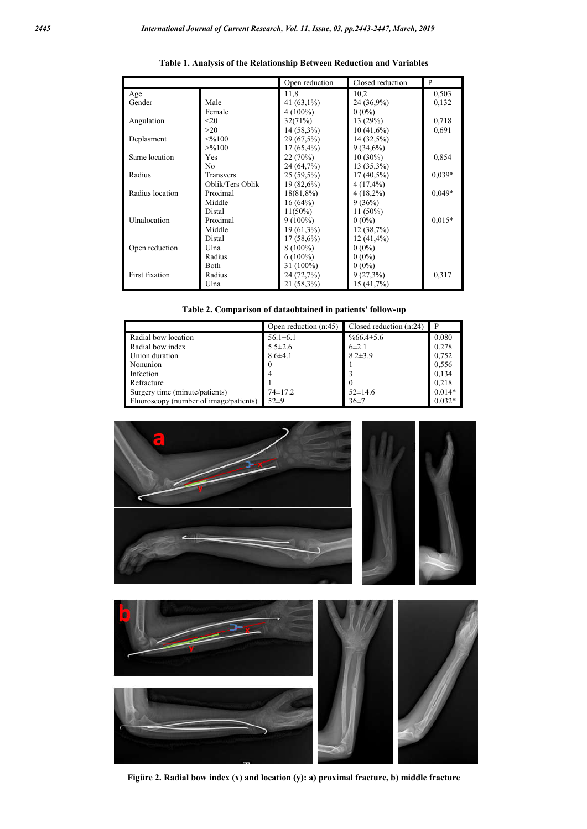|                 |                  | Open reduction | Closed reduction | P        |
|-----------------|------------------|----------------|------------------|----------|
| Age             |                  | 11,8           | 10,2             | 0,503    |
| Gender          | Male             | 41 $(63,1\%)$  | 24 (36,9%)       | 0,132    |
|                 | Female           | $4(100\%)$     | $0(0\%)$         |          |
| Angulation      | $20$             | 32(71%)        | 13(29%)          | 0,718    |
|                 | >20              | 14 (58,3%)     | $10(41,6\%)$     | 0.691    |
| Deplasment      | $<\!\%100$       | 29 (67,5%)     | 14 (32,5%)       |          |
|                 | >9/6100          | $17(65,4\%)$   | $9(34,6\%)$      |          |
| Same location   | Yes              | 22(70%)        | $10(30\%)$       | 0,854    |
|                 | No.              | 24 (64,7%)     | 13 (35,3%)       |          |
| Radius          | Transvers        | $25(59,5\%)$   | $17(40,5\%)$     | $0.039*$ |
|                 | Oblik/Ters Oblik | $19(82,6\%)$   | 4 (17,4%)        |          |
| Radius location | Proximal         | $18(81,8\%)$   | $4(18,2\%)$      | $0.049*$ |
|                 | Middle           | 16(64%)        | 9(36%)           |          |
|                 | Distal           | $11(50\%)$     | $11(50\%)$       |          |
| Ulnalocation    | Proximal         | $9(100\%)$     | $0(0\%)$         | $0,015*$ |
|                 | Middle           | $19(61,3\%)$   | 12(38,7%)        |          |
|                 | Distal           | $17(58,6\%)$   | $12(41,4\%)$     |          |
| Open reduction  | Ulna             | $8(100\%)$     | $0(0\%)$         |          |
|                 | Radius           | $6(100\%)$     | $0(0\%)$         |          |
|                 | <b>Both</b>      | 31 (100%)      | $0(0\%)$         |          |
| First fixation  | Radius           | 24 (72,7%)     | $9(27,3\%)$      | 0.317    |
|                 | Ulna             | 21 (58,3%)     | 15(41,7%)        |          |

|  |  | Table 1. Analysis of the Relationship Between Reduction and Variables |  |
|--|--|-----------------------------------------------------------------------|--|
|  |  |                                                                       |  |

| Table 2. Comparison of dataobtained in patients' follow-up |  |  |
|------------------------------------------------------------|--|--|
|------------------------------------------------------------|--|--|

|                                        | Open reduction $(n:45)$ | Closed reduction $(n:24)$ | P        |
|----------------------------------------|-------------------------|---------------------------|----------|
| Radial bow location                    | $56.1 \pm 6.1$          | $\%66.4\pm5.6$            | 0.080    |
| Radial bow index                       | $5.5 \pm 2.6$           | $6\pm2.1$                 | 0.278    |
| Union duration                         | $8.6{\pm}4.1$           | $8.2 \pm 3.9$             | 0.752    |
| Nonunion                               |                         |                           | 0.556    |
| Infection                              |                         |                           | 0,134    |
| Refracture                             |                         |                           | 0.218    |
| Surgery time (minute/patients)         | $74 \pm 17.2$           | $52 \pm 14.6$             | $0.014*$ |
| Fluoroscopy (number of image/patients) | $52+9$                  | 36±7                      | $0.032*$ |





**Figüre 2. Radial bow index (x) and location (y): a) proximal fracture, b) middle fracture**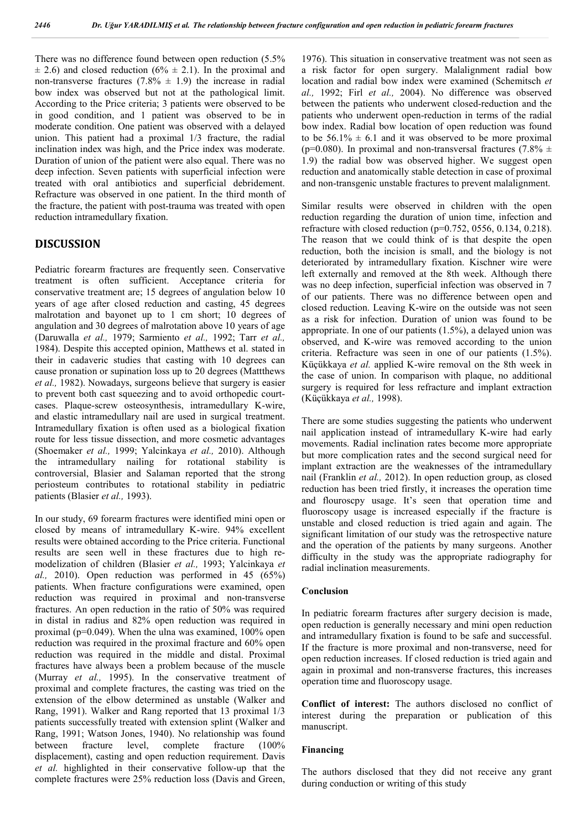There was no difference found between open reduction (5.5%  $\pm$  2.6) and closed reduction (6%  $\pm$  2.1). In the proximal and non-transverse fractures  $(7.8\% \pm 1.9)$  the increase in radial bow index was observed but not at the pathological limit. According to the Price criteria; 3 patients were observed to be in good condition, and 1 patient was observed to be in moderate condition. One patient was observed with a delayed union. This patient had a proximal 1/3 fracture, the radial inclination index was high, and the Price index was moderate. Duration of union of the patient were also equal. There was no deep infection. Seven patients with superficial infection were treated with oral antibiotics and superficial debridement. Refracture was observed in one patient. In the third month of the fracture, the patient with post-trauma was treated with open reduction intramedullary fixation.

#### **DISCUSSION**

Pediatric forearm fractures are frequently seen. Conservative treatment is often sufficient. Acceptance criteria for conservative treatment are; 15 degrees of angulation below 10 years of age after closed reduction and casting, 45 degrees malrotation and bayonet up to 1 cm short; 10 degrees of angulation and 30 degrees of malrotation above 10 years of age (Daruwalla *et al.,* 1979; Sarmiento *et al.,* 1992; Tarr *et al.,*  1984). Despite this accepted opinion, Matthews et al. stated in their in cadaveric studies that casting with 10 degrees can cause pronation or supination loss up to 20 degrees (Mattthews *et al.,* 1982). Nowadays, surgeons believe that surgery is easier to prevent both cast squeezing and to avoid orthopedic courtcases. Plaque-screw osteosynthesis, intramedullary K-wire, and elastic intramedullary nail are used in surgical treatment. Intramedullary fixation is often used as a biological fixation route for less tissue dissection, and more cosmetic advantages (Shoemaker *et al.,* 1999; Yalcinkaya *et al.,* 2010). Although the intramedullary nailing for rotational stability is controversial, Blasier and Salaman reported that the strong periosteum contributes to rotational stability in pediatric patients (Blasier *et al.,* 1993).

In our study, 69 forearm fractures were identified mini open or closed by means of intramedullary K-wire. 94% excellent results were obtained according to the Price criteria. Functional results are seen well in these fractures due to high remodelization of children (Blasier *et al.,* 1993; Yalcinkaya *et al.,* 2010). Open reduction was performed in 45 (65%) patients. When fracture configurations were examined, open reduction was required in proximal and non-transverse fractures. An open reduction in the ratio of 50% was required in distal in radius and 82% open reduction was required in proximal (p=0.049). When the ulna was examined, 100% open reduction was required in the proximal fracture and 60% open reduction was required in the middle and distal. Proximal fractures have always been a problem because of the muscle (Murray *et al.,* 1995). In the conservative treatment of proximal and complete fractures, the casting was tried on the extension of the elbow determined as unstable (Walker and Rang, 1991). Walker and Rang reported that 13 proximal 1/3 patients successfully treated with extension splint (Walker and Rang, 1991; Watson Jones, 1940). No relationship was found between fracture level, complete fracture (100% displacement), casting and open reduction requirement. Davis *et al.* highlighted in their conservative follow-up that the complete fractures were 25% reduction loss (Davis and Green,

1976). This situation in conservative treatment was not seen as a risk factor for open surgery. Malalignment radial bow location and radial bow index were examined (Schemitsch *et al.,* 1992; Firl *et al.,* 2004). No difference was observed between the patients who underwent closed-reduction and the patients who underwent open-reduction in terms of the radial bow index. Radial bow location of open reduction was found to be  $56.1\% \pm 6.1$  and it was observed to be more proximal (p=0.080). In proximal and non-transversal fractures (7.8%  $\pm$ 1.9) the radial bow was observed higher. We suggest open reduction and anatomically stable detection in case of proximal and non-transgenic unstable fractures to prevent malalignment.

Similar results were observed in children with the open reduction regarding the duration of union time, infection and refracture with closed reduction (p=0.752, 0556, 0.134, 0.218). The reason that we could think of is that despite the open reduction, both the incision is small, and the biology is not deteriorated by intramedullary fixation. Kischner wire were left externally and removed at the 8th week. Although there was no deep infection, superficial infection was observed in 7 of our patients. There was no difference between open and closed reduction. Leaving K-wire on the outside was not seen as a risk for infection. Duration of union was found to be appropriate. In one of our patients (1.5%), a delayed union was observed, and K-wire was removed according to the union criteria. Refracture was seen in one of our patients (1.5%). Küçükkaya *et al.* applied K-wire removal on the 8th week in the case of union. In comparison with plaque, no additional surgery is required for less refracture and implant extraction (Küçükkaya *et al.,* 1998).

There are some studies suggesting the patients who underwent nail application instead of intramedullary K-wire had early movements. Radial inclination rates become more appropriate but more complication rates and the second surgical need for implant extraction are the weaknesses of the intramedullary nail (Franklin *et al.,* 2012). In open reduction group, as closed reduction has been tried firstly, it increases the operation time and flouroscpy usage. It's seen that operation time and fluoroscopy usage is increased especially if the fracture is unstable and closed reduction is tried again and again. The significant limitation of our study was the retrospective nature and the operation of the patients by many surgeons. Another difficulty in the study was the appropriate radiography for radial inclination measurements.

#### **Conclusion**

In pediatric forearm fractures after surgery decision is made, open reduction is generally necessary and mini open reduction and intramedullary fixation is found to be safe and successful. If the fracture is more proximal and non-transverse, need for open reduction increases. If closed reduction is tried again and again in proximal and non-transverse fractures, this increases operation time and fluoroscopy usage.

**Conflict of interest:** The authors disclosed no conflict of interest during the preparation or publication of this manuscript.

#### **Financing**

The authors disclosed that they did not receive any grant during conduction or writing of this study